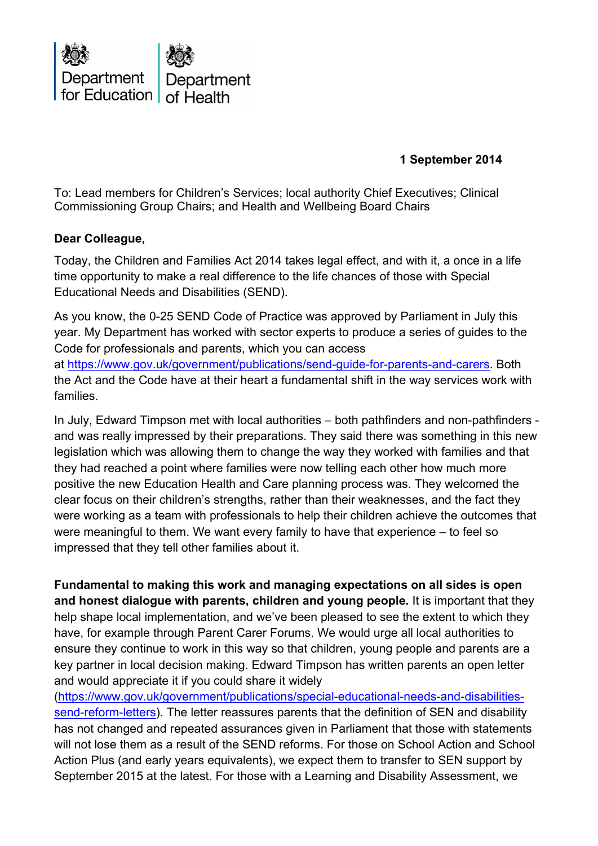

 **1 September 2014**

To: Lead members for Children's Services; local authority Chief Executives; Clinical Commissioning Group Chairs; and Health and Wellbeing Board Chairs

## **Dear Colleague,**

Today, the Children and Families Act 2014 takes legal effect, and with it, a once in a life time opportunity to make a real difference to the life chances of those with Special Educational Needs and Disabilities (SEND).

As you know, the 0-25 SEND Code of Practice was approved by Parliament in July this year. My Department has worked with sector experts to produce a series of guides to the Code for professionals and parents, which you can access at [https://www.gov.uk/government/publications/send-guide-for-parents-and-carers.](https://www.gov.uk/government/publications/send-guide-for-parents-and-carers) Both the Act and the Code have at their heart a fundamental shift in the way services work with families.

In July, Edward Timpson met with local authorities – both pathfinders and non-pathfinders and was really impressed by their preparations. They said there was something in this new legislation which was allowing them to change the way they worked with families and that they had reached a point where families were now telling each other how much more positive the new Education Health and Care planning process was. They welcomed the clear focus on their children's strengths, rather than their weaknesses, and the fact they were working as a team with professionals to help their children achieve the outcomes that were meaningful to them. We want every family to have that experience – to feel so impressed that they tell other families about it.

**Fundamental to making this work and managing expectations on all sides is open and honest dialogue with parents, children and young people.** It is important that they help shape local implementation, and we've been pleased to see the extent to which they have, for example through Parent Carer Forums. We would urge all local authorities to ensure they continue to work in this way so that children, young people and parents are a key partner in local decision making. Edward Timpson has written parents an open letter and would appreciate it if you could share it widely

[\(https://www.gov.uk/government/publications/special-educational-needs-and-disabilities](https://www.gov.uk/government/publications/special-educational-needs-and-disabilities-send-reform-letters)[send-reform-letters\)](https://www.gov.uk/government/publications/special-educational-needs-and-disabilities-send-reform-letters). The letter reassures parents that the definition of SEN and disability has not changed and repeated assurances given in Parliament that those with statements will not lose them as a result of the SEND reforms. For those on School Action and School Action Plus (and early years equivalents), we expect them to transfer to SEN support by September 2015 at the latest. For those with a Learning and Disability Assessment, we